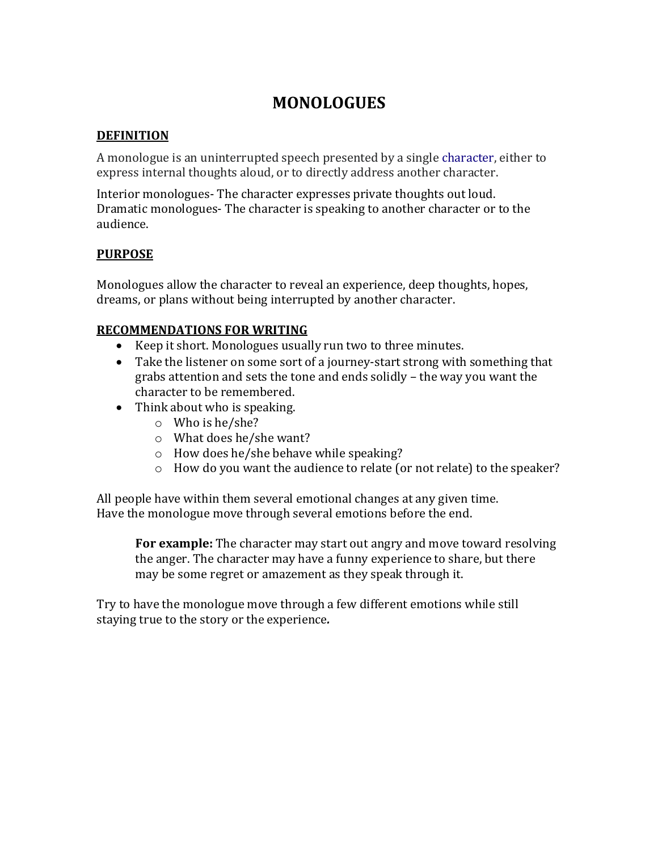# **MONOLOGUES**

# **DEFINITION**

A monologue is an uninterrupted speech presented by a single character, either to express internal thoughts aloud, or to directly address another character.

Interior monologues- The character expresses private thoughts out loud. Dramatic monologues- The character is speaking to another character or to the audience.

#### **PURPOSE**

Monologues allow the character to reveal an experience, deep thoughts, hopes, dreams, or plans without being interrupted by another character.

#### **RECOMMENDATIONS FOR WRITING**

- Keep it short. Monologues usually run two to three minutes.
- Take the listener on some sort of a journey-start strong with something that grabs attention and sets the tone and ends solidly  $-$  the way you want the character to be remembered.
- Think about who is speaking.
	- $\circ$  Who is he/she?
	- $\circ$  What does he/she want?
	- $\circ$  How does he/she behave while speaking?
	- $\circ$  How do you want the audience to relate (or not relate) to the speaker?

All people have within them several emotional changes at any given time. Have the monologue move through several emotions before the end.

**For example:** The character may start out angry and move toward resolving the anger. The character may have a funny experience to share, but there may be some regret or amazement as they speak through it.

Try to have the monologue move through a few different emotions while still staying true to the story or the experience.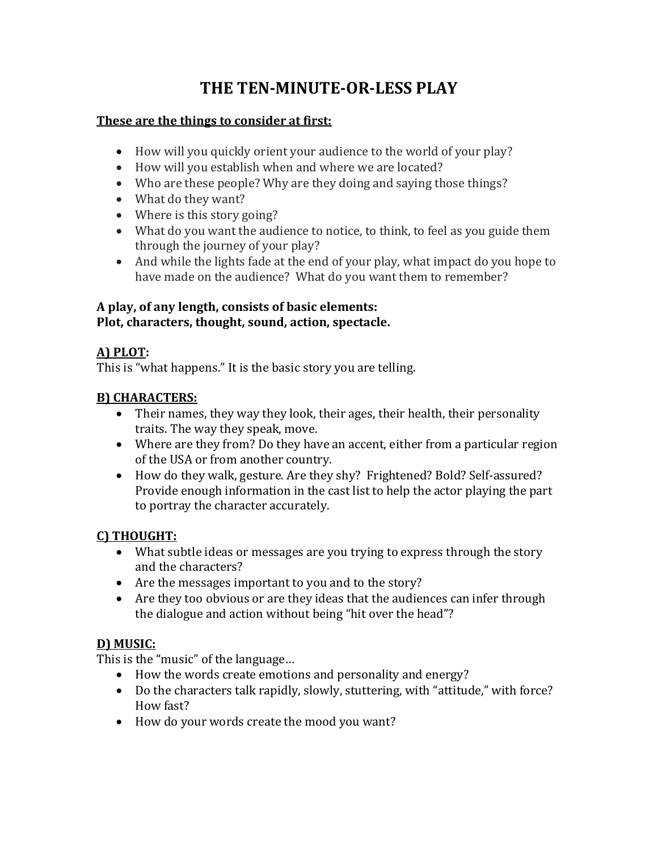# **THE TEN-MINUTE-OR-LESS PLAY**

#### **These are the things to consider at first:**

- How will you quickly orient your audience to the world of your play?
- How will you establish when and where we are located?
- Who are these people? Why are they doing and saying those things?
- What do they want?
- Where is this story going?
- What do you want the audience to notice, to think, to feel as you guide them through the journey of your play?
- And while the lights fade at the end of your play, what impact do you hope to have made on the audience? What do you want them to remember?

#### A play, of any length, consists of basic elements: Plot, characters, thought, sound, action, spectacle.

# **A) PLOT:**

This is "what happens." It is the basic story you are telling.

#### **B) CHARACTERS:**

- Their names, they way they look, their ages, their health, their personality traits. The way they speak, move.
- Where are they from? Do they have an accent, either from a particular region of the USA or from another country.
- How do they walk, gesture. Are they shy? Frightened? Bold? Self-assured? Provide enough information in the cast list to help the actor playing the part to portray the character accurately.

# **C) THOUGHT:**

- What subtle ideas or messages are you trying to express through the story and the characters?
- Are the messages important to you and to the story?
- Are they too obvious or are they ideas that the audiences can infer through the dialogue and action without being "hit over the head"?

# **D) MUSIC:**

This is the "music" of the language...

- How the words create emotions and personality and energy?
- Do the characters talk rapidly, slowly, stuttering, with "attitude," with force? How fast?
- How do your words create the mood you want?